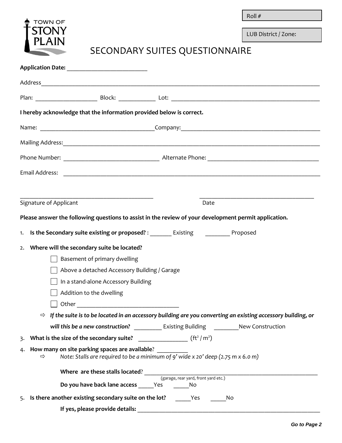Roll # \_\_\_\_\_\_\_\_\_\_\_\_\_\_\_\_



LUB District / Zone:

## SECONDARY SUITES QUESTIONNAIRE

|                                                                                                                                                           | I hereby acknowledge that the information provided below is correct.                                  |                                                                                                                            |  |
|-----------------------------------------------------------------------------------------------------------------------------------------------------------|-------------------------------------------------------------------------------------------------------|----------------------------------------------------------------------------------------------------------------------------|--|
|                                                                                                                                                           |                                                                                                       |                                                                                                                            |  |
|                                                                                                                                                           |                                                                                                       |                                                                                                                            |  |
|                                                                                                                                                           |                                                                                                       |                                                                                                                            |  |
|                                                                                                                                                           |                                                                                                       |                                                                                                                            |  |
|                                                                                                                                                           |                                                                                                       |                                                                                                                            |  |
|                                                                                                                                                           | Signature of Applicant                                                                                | Date                                                                                                                       |  |
|                                                                                                                                                           | Please answer the following questions to assist in the review of your development permit application. |                                                                                                                            |  |
|                                                                                                                                                           | Is the Secondary suite existing or proposed? : __________ Existing _____________ Proposed<br>1.       |                                                                                                                            |  |
| 2.                                                                                                                                                        | Where will the secondary suite be located?                                                            |                                                                                                                            |  |
|                                                                                                                                                           | Basement of primary dwelling                                                                          |                                                                                                                            |  |
|                                                                                                                                                           | Above a detached Accessory Building / Garage                                                          |                                                                                                                            |  |
|                                                                                                                                                           | In a stand-alone Accessory Building                                                                   |                                                                                                                            |  |
|                                                                                                                                                           | Addition to the dwelling                                                                              |                                                                                                                            |  |
|                                                                                                                                                           |                                                                                                       |                                                                                                                            |  |
|                                                                                                                                                           |                                                                                                       | $\Rightarrow$ If the suite is to be located in an accessory building are you converting an existing accessory building, or |  |
|                                                                                                                                                           |                                                                                                       |                                                                                                                            |  |
|                                                                                                                                                           |                                                                                                       |                                                                                                                            |  |
| How many on site parking spaces are available?<br>4.<br>Note: Stalls are required to be a minimum of 9' wide x 20' deep (2.75 m x 6.0 m)<br>$\Rightarrow$ |                                                                                                       |                                                                                                                            |  |
|                                                                                                                                                           | Where are these stalls located?<br>(garage, rear yard, front yard etc.)                               |                                                                                                                            |  |
|                                                                                                                                                           | Do you have back lane access ______Yes ________No                                                     |                                                                                                                            |  |
|                                                                                                                                                           | 5. Is there another existing secondary suite on the lot? Yes                                          | No                                                                                                                         |  |
|                                                                                                                                                           | If yes, please provide details:                                                                       |                                                                                                                            |  |